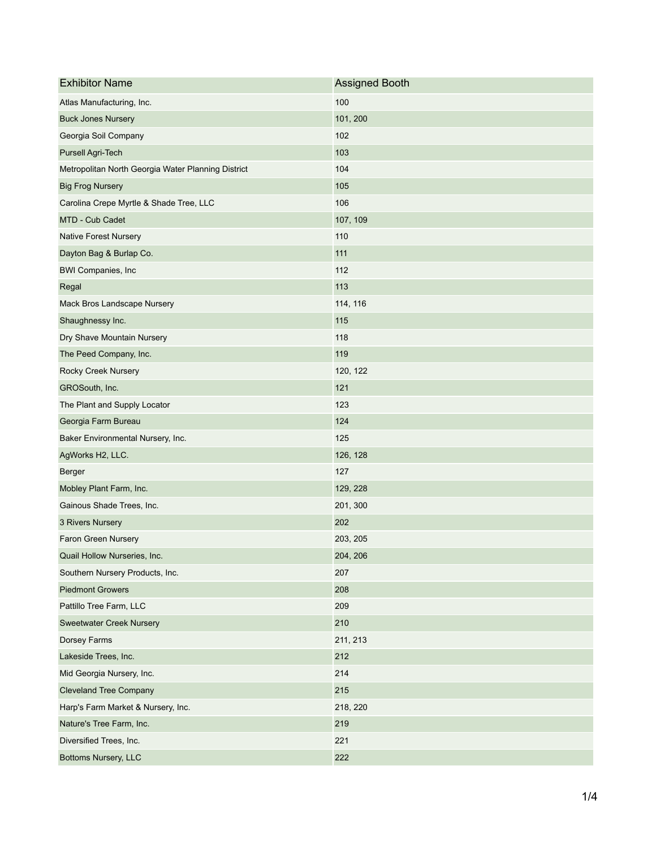| <b>Exhibitor Name</b>                              | <b>Assigned Booth</b> |
|----------------------------------------------------|-----------------------|
| Atlas Manufacturing, Inc.                          | 100                   |
| <b>Buck Jones Nursery</b>                          | 101, 200              |
| Georgia Soil Company                               | 102                   |
| <b>Pursell Agri-Tech</b>                           | 103                   |
| Metropolitan North Georgia Water Planning District | 104                   |
| <b>Big Frog Nursery</b>                            | 105                   |
| Carolina Crepe Myrtle & Shade Tree, LLC            | 106                   |
| MTD - Cub Cadet                                    | 107, 109              |
| <b>Native Forest Nursery</b>                       | 110                   |
| Dayton Bag & Burlap Co.                            | 111                   |
| <b>BWI Companies, Inc.</b>                         | 112                   |
| Regal                                              | 113                   |
| Mack Bros Landscape Nursery                        | 114, 116              |
| Shaughnessy Inc.                                   | 115                   |
| Dry Shave Mountain Nursery                         | 118                   |
| The Peed Company, Inc.                             | 119                   |
| <b>Rocky Creek Nursery</b>                         | 120, 122              |
| GROSouth, Inc.                                     | 121                   |
| The Plant and Supply Locator                       | 123                   |
| Georgia Farm Bureau                                | 124                   |
| Baker Environmental Nursery, Inc.                  | 125                   |
| AgWorks H2, LLC.                                   | 126, 128              |
| <b>Berger</b>                                      | 127                   |
| Mobley Plant Farm, Inc.                            | 129, 228              |
| Gainous Shade Trees, Inc.                          | 201, 300              |
| 3 Rivers Nursery                                   | 202                   |
| <b>Faron Green Nursery</b>                         | 203, 205              |
| Quail Hollow Nurseries, Inc.                       | 204, 206              |
| Southern Nursery Products, Inc.                    | 207                   |
| <b>Piedmont Growers</b>                            | 208                   |
| Pattillo Tree Farm, LLC                            | 209                   |
| <b>Sweetwater Creek Nursery</b>                    | 210                   |
| Dorsey Farms                                       | 211, 213              |
| Lakeside Trees, Inc.                               | 212                   |
| Mid Georgia Nursery, Inc.                          | 214                   |
| <b>Cleveland Tree Company</b>                      | 215                   |
| Harp's Farm Market & Nursery, Inc.                 | 218, 220              |
| Nature's Tree Farm, Inc.                           | 219                   |
| Diversified Trees, Inc.                            | 221                   |
| <b>Bottoms Nursery, LLC</b>                        | 222                   |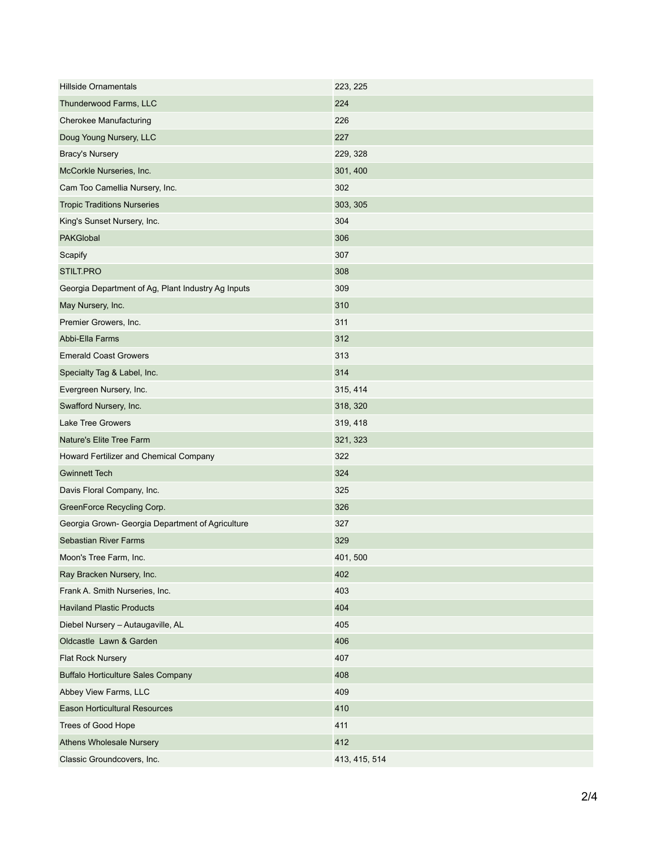| <b>Hillside Ornamentals</b>                        | 223, 225      |
|----------------------------------------------------|---------------|
| Thunderwood Farms, LLC                             | 224           |
| <b>Cherokee Manufacturing</b>                      | 226           |
| Doug Young Nursery, LLC                            | 227           |
| <b>Bracy's Nursery</b>                             | 229, 328      |
| McCorkle Nurseries, Inc.                           | 301, 400      |
| Cam Too Camellia Nursery, Inc.                     | 302           |
| <b>Tropic Traditions Nurseries</b>                 | 303, 305      |
| King's Sunset Nursery, Inc.                        | 304           |
| <b>PAKGlobal</b>                                   | 306           |
| Scapify                                            | 307           |
| STILT.PRO                                          | 308           |
| Georgia Department of Ag, Plant Industry Ag Inputs | 309           |
| May Nursery, Inc.                                  | 310           |
| Premier Growers, Inc.                              | 311           |
| Abbi-Ella Farms                                    | 312           |
| <b>Emerald Coast Growers</b>                       | 313           |
| Specialty Tag & Label, Inc.                        | 314           |
| Evergreen Nursery, Inc.                            | 315, 414      |
| Swafford Nursery, Inc.                             | 318, 320      |
| <b>Lake Tree Growers</b>                           | 319, 418      |
| Nature's Elite Tree Farm                           | 321, 323      |
| Howard Fertilizer and Chemical Company             | 322           |
| <b>Gwinnett Tech</b>                               | 324           |
| Davis Floral Company, Inc.                         | 325           |
| GreenForce Recycling Corp.                         | 326           |
| Georgia Grown- Georgia Department of Agriculture   | 327           |
| <b>Sebastian River Farms</b>                       | 329           |
| Moon's Tree Farm, Inc.                             | 401, 500      |
| Ray Bracken Nursery, Inc.                          | 402           |
| Frank A. Smith Nurseries, Inc.                     | 403           |
| <b>Haviland Plastic Products</b>                   | 404           |
| Diebel Nursery - Autaugaville, AL                  | 405           |
| Oldcastle Lawn & Garden                            | 406           |
| <b>Flat Rock Nursery</b>                           | 407           |
| <b>Buffalo Horticulture Sales Company</b>          | 408           |
| Abbey View Farms, LLC                              | 409           |
| <b>Eason Horticultural Resources</b>               | 410           |
| Trees of Good Hope                                 | 411           |
| <b>Athens Wholesale Nursery</b>                    | 412           |
| Classic Groundcovers, Inc.                         | 413, 415, 514 |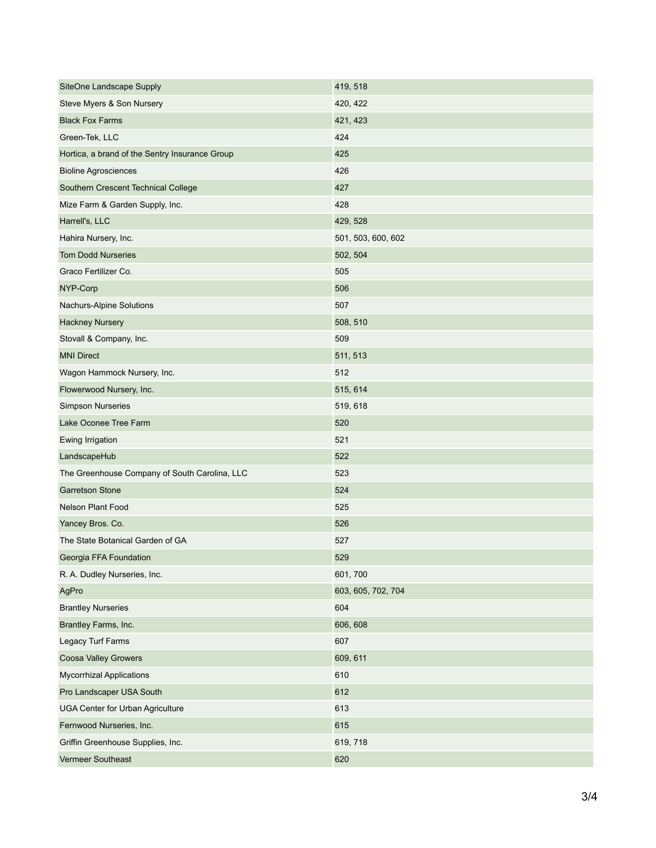| <b>SiteOne Landscape Supply</b>                | 419, 518           |
|------------------------------------------------|--------------------|
| Steve Myers & Son Nursery                      | 420, 422           |
| <b>Black Fox Farms</b>                         | 421, 423           |
| Green-Tek, LLC                                 | 424                |
| Hortica, a brand of the Sentry Insurance Group | 425                |
| <b>Bioline Agrosciences</b>                    | 426                |
| Southern Crescent Technical College            | 427                |
| Mize Farm & Garden Supply, Inc.                | 428                |
| Harrell's, LLC                                 | 429, 528           |
| Hahira Nursery, Inc.                           | 501, 503, 600, 602 |
| <b>Tom Dodd Nurseries</b>                      | 502, 504           |
| Graco Fertilizer Co.                           | 505                |
| NYP-Corp                                       | 506                |
| <b>Nachurs-Alpine Solutions</b>                | 507                |
| <b>Hackney Nursery</b>                         | 508, 510           |
| Stovall & Company, Inc.                        | 509                |
| <b>MNI Direct</b>                              | 511, 513           |
| Wagon Hammock Nursery, Inc.                    | 512                |
| Flowerwood Nursery, Inc.                       | 515, 614           |
| <b>Simpson Nurseries</b>                       | 519, 618           |
| Lake Oconee Tree Farm                          | 520                |
| Ewing Irrigation                               | 521                |
| LandscapeHub                                   | 522                |
| The Greenhouse Company of South Carolina, LLC  | 523                |
| <b>Garretson Stone</b>                         | 524                |
| <b>Nelson Plant Food</b>                       | 525                |
| Yancey Bros. Co.                               | 526                |
| The State Botanical Garden of GA               | 527                |
| Georgia FFA Foundation                         | 529                |
| R. A. Dudley Nurseries, Inc.                   | 601, 700           |
| AgPro                                          | 603, 605, 702, 704 |
| <b>Brantley Nurseries</b>                      | 604                |
| Brantley Farms, Inc.                           | 606, 608           |
| Legacy Turf Farms                              | 607                |
| <b>Coosa Valley Growers</b>                    | 609, 611           |
| <b>Mycorrhizal Applications</b>                | 610                |
| Pro Landscaper USA South                       | 612                |
| <b>UGA Center for Urban Agriculture</b>        | 613                |
| Fernwood Nurseries, Inc.                       | 615                |
| Griffin Greenhouse Supplies, Inc.              | 619, 718           |
| <b>Vermeer Southeast</b>                       | 620                |